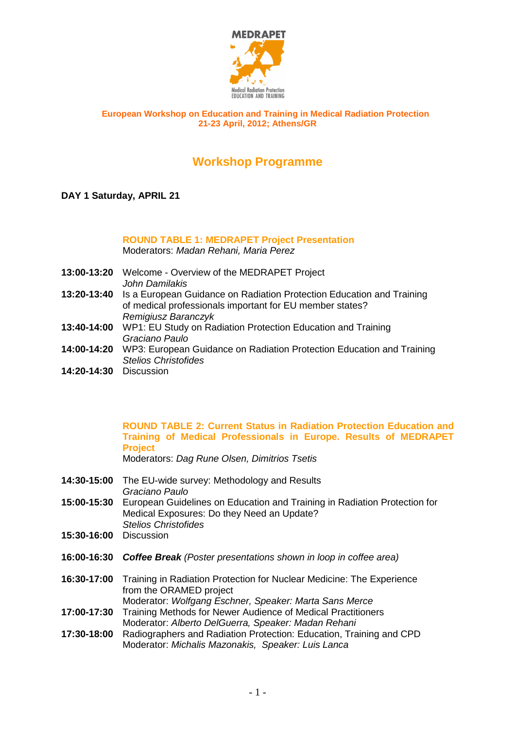

# **Workshop Programme**

**DAY 1 Saturday, APRIL 21** 

## **ROUND TABLE 1: MEDRAPET Project Presentation**

Moderators: Madan Rehani, Maria Perez

- **13:00-13:20** Welcome Overview of the MEDRAPET Project John Damilakis
- **13:20-13:40** Is a European Guidance on Radiation Protection Education and Training of medical professionals important for EU member states? Remigiusz Baranczyk
- **13:40-14:00** WP1: EU Study on Radiation Protection Education and Training Graciano Paulo
- **14:00-14:20** WP3: European Guidance on Radiation Protection Education and Training Stelios Christofides
- **14:20-14:30** Discussion

## **ROUND TABLE 2: Current Status in Radiation Protection Education and Training of Medical Professionals in Europe. Results of MEDRAPET Project**

Moderators: Dag Rune Olsen, Dimitrios Tsetis

- **14:30-15:00** The EU-wide survey: Methodology and Results Graciano Paulo
- **15:00-15:30** European Guidelines on Education and Training in Radiation Protection for Medical Exposures: Do they Need an Update? Stelios Christofides
- **15:30-16:00** Discussion
- **16:00-16:30 Coffee Break** (Poster presentations shown in loop in coffee area)
- **16:30-17:00** Training in Radiation Protection for Nuclear Medicine: The Experience from the ORAMED project Moderator: Wolfgang Eschner, Speaker: Marta Sans Merce
- **17:00-17:30** Training Methods for Newer Audience of Medical Practitioners Moderator: Alberto DelGuerra, Speaker: Madan Rehani
- **17:30-18:00** Radiographers and Radiation Protection: Education, Training and CPD Moderator: Michalis Mazonakis, Speaker: Luis Lanca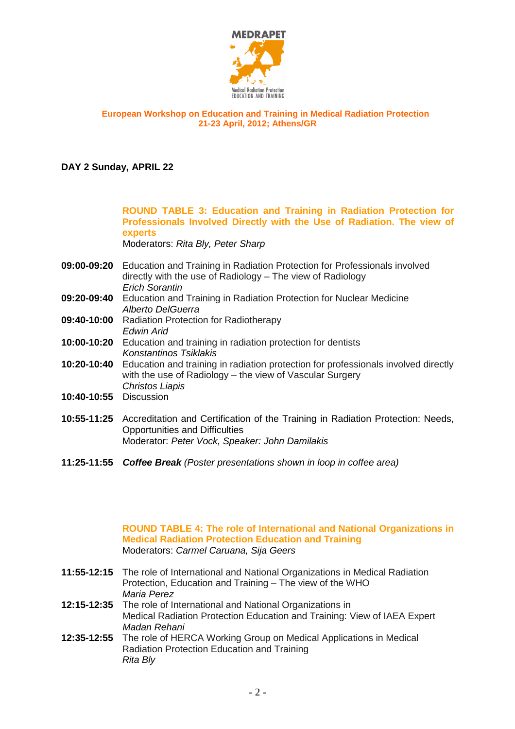

**DAY 2 Sunday, APRIL 22** 

**ROUND TABLE 3: Education and Training in Radiation Protection for Professionals Involved Directly with the Use of Radiation. The view of experts** 

Moderators: Rita Bly, Peter Sharp

- **09:00-09:20** Education and Training in Radiation Protection for Professionals involved directly with the use of Radiology – The view of Radiology Erich Sorantin
- **09:20-09:40** Education and Training in Radiation Protection for Nuclear Medicine Alberto DelGuerra
- **09:40-10:00** Radiation Protection for Radiotherapy Edwin Arid
- **10:00-10:20** Education and training in radiation protection for dentists Konstantinos Tsiklakis
- **10:20-10:40** Education and training in radiation protection for professionals involved directly with the use of Radiology – the view of Vascular Surgery Christos Liapis
- **10:40-10:55** Discussion
- **10:55-11:25** Accreditation and Certification of the Training in Radiation Protection: Needs, Opportunities and Difficulties Moderator: Peter Vock, Speaker: John Damilakis
- **11:25-11:55 Coffee Break** (Poster presentations shown in loop in coffee area)

#### **ROUND TABLE 4: The role of International and National Organizations in Medical Radiation Protection Education and Training** Moderators: Carmel Caruana, Sija Geers

- **11:55-12:15** The role of International and National Organizations in Medical Radiation Protection, Education and Training – The view of the WHO Maria Perez
- **12:15-12:35** The role of International and National Organizations in Medical Radiation Protection Education and Training: View of IAEA Expert Madan Rehani
- **12:35-12:55** The role of HERCA Working Group on Medical Applications in Medical Radiation Protection Education and Training Rita Bly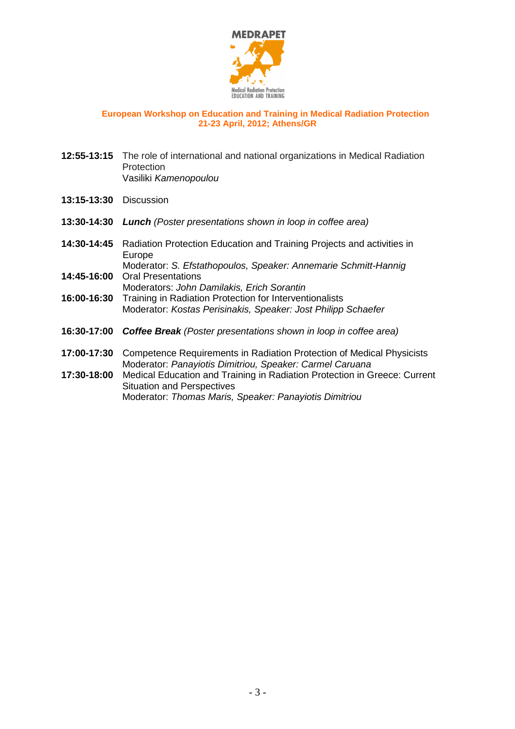

- **12:55-13:15** The role of international and national organizations in Medical Radiation **Protection** Vasiliki Kamenopoulou
- **13:15-13:30** Discussion
- **13:30-14:30 Lunch** (Poster presentations shown in loop in coffee area)
- **14:30-14:45** Radiation Protection Education and Training Projects and activities in Europe
- Moderator: S. Efstathopoulos, Speaker: Annemarie Schmitt-Hannig **14:45-16:00** Oral Presentations
- Moderators: John Damilakis, Erich Sorantin
- **16:00-16:30** Training in Radiation Protection for Interventionalists Moderator: Kostas Perisinakis, Speaker: Jost Philipp Schaefer
- **16:30-17:00 Coffee Break** (Poster presentations shown in loop in coffee area)
- **17:00-17:30** Competence Requirements in Radiation Protection of Medical Physicists Moderator: Panayiotis Dimitriou, Speaker: Carmel Caruana
- **17:30-18:00** Medical Education and Training in Radiation Protection in Greece: Current Situation and Perspectives Moderator: Thomas Maris, Speaker: Panayiotis Dimitriou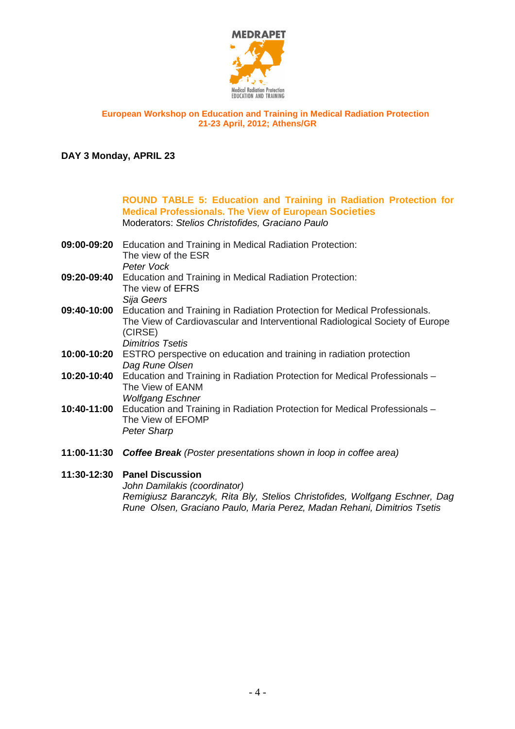

### **DAY 3 Monday, APRIL 23**

**ROUND TABLE 5: Education and Training in Radiation Protection for Medical Professionals. The View of European Societies**  Moderators: Stelios Christofides, Graciano Paulo

- **09:00-09:20** Education and Training in Medical Radiation Protection: The view of the ESR Peter Vock
- **09:20-09:40** Education and Training in Medical Radiation Protection: The view of EFRS Sija Geers
- **09:40-10:00** Education and Training in Radiation Protection for Medical Professionals. The View of Cardiovascular and Interventional Radiological Society of Europe (CIRSE) Dimitrios Tsetis
- **10:00-10:20** ESTRO perspective on education and training in radiation protection Dag Rune Olsen
- **10:20-10:40** Education and Training in Radiation Protection for Medical Professionals The View of EANM Wolfgang Eschner
- **10:40-11:00** Education and Training in Radiation Protection for Medical Professionals The View of EFOMP Peter Sharp
- **11:00-11:30 Coffee Break** (Poster presentations shown in loop in coffee area)
- **11:30-12:30 Panel Discussion** John Damilakis (coordinator) Remigiusz Baranczyk, Rita Bly, Stelios Christofides, Wolfgang Eschner, Dag Rune Olsen, Graciano Paulo, Maria Perez, Madan Rehani, Dimitrios Tsetis